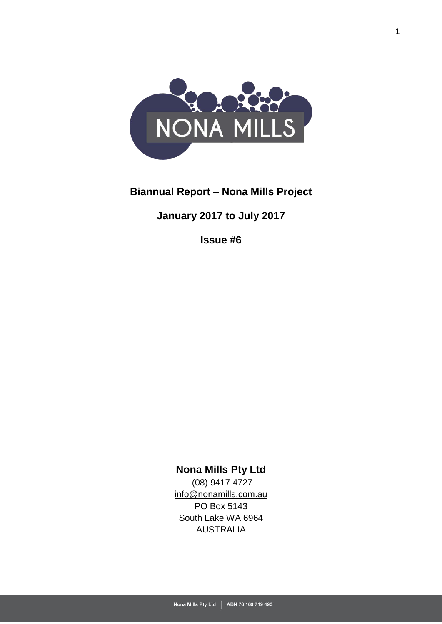

# **Biannual Report – Nona Mills Project**

# **January 2017 to July 2017**

**Issue #6**

# **Nona Mills Pty Ltd**

(08) 9417 4727 [info@nonamills.com.au](mailto:info@nonamills.com.au) PO Box 5143 South Lake WA 6964 AUSTRALIA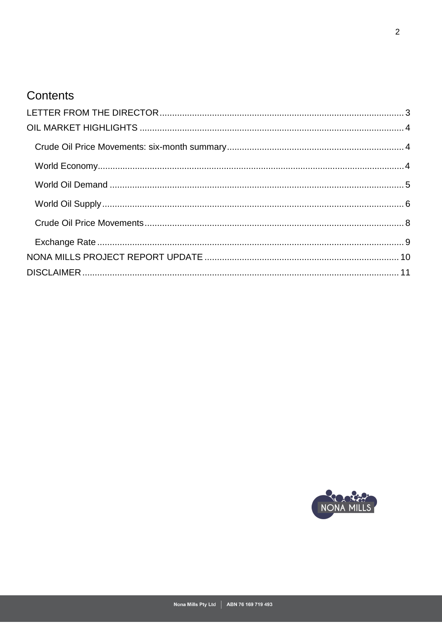# Contents

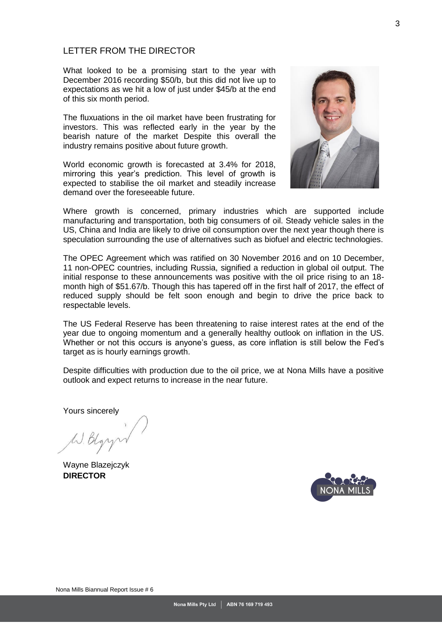## <span id="page-2-0"></span>LETTER FROM THE DIRECTOR

What looked to be a promising start to the year with December 2016 recording \$50/b, but this did not live up to expectations as we hit a low of just under \$45/b at the end of this six month period.

The fluxuations in the oil market have been frustrating for investors. This was reflected early in the year by the bearish nature of the market Despite this overall the industry remains positive about future growth.

World economic growth is forecasted at 3.4% for 2018, mirroring this year's prediction. This level of growth is expected to stabilise the oil market and steadily increase demand over the foreseeable future.



Where growth is concerned, primary industries which are supported include manufacturing and transportation, both big consumers of oil. Steady vehicle sales in the US, China and India are likely to drive oil consumption over the next year though there is speculation surrounding the use of alternatives such as biofuel and electric technologies.

The OPEC Agreement which was ratified on 30 November 2016 and on 10 December, 11 non-OPEC countries, including Russia, signified a reduction in global oil output. The initial response to these announcements was positive with the oil price rising to an 18 month high of \$51.67/b. Though this has tapered off in the first half of 2017, the effect of reduced supply should be felt soon enough and begin to drive the price back to respectable levels.

The US Federal Reserve has been threatening to raise interest rates at the end of the year due to ongoing momentum and a generally healthy outlook on inflation in the US. Whether or not this occurs is anyone's guess, as core inflation is still below the Fed's target as is hourly earnings growth.

Despite difficulties with production due to the oil price, we at Nona Mills have a positive outlook and expect returns to increase in the near future.

Yours sincerely

<span id="page-2-1"></span>Wayne Blazejczyk **DIRECTOR**

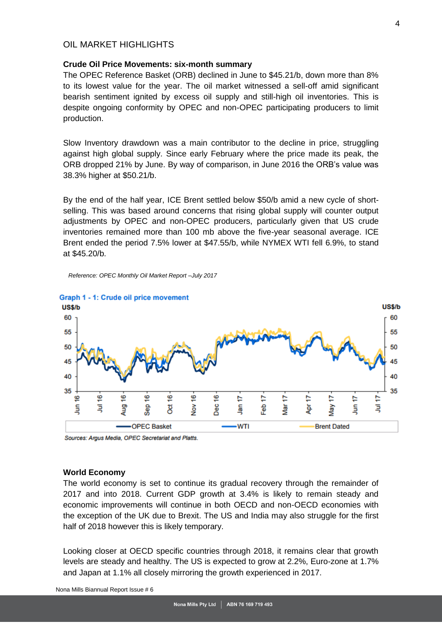## OIL MARKET HIGHI IGHTS

### <span id="page-3-0"></span>**Crude Oil Price Movements: six-month summary**

The OPEC Reference Basket (ORB) declined in June to \$45.21/b, down more than 8% to its lowest value for the year. The oil market witnessed a sell-off amid significant bearish sentiment ignited by excess oil supply and still-high oil inventories. This is despite ongoing conformity by OPEC and non-OPEC participating producers to limit production.

Slow Inventory drawdown was a main contributor to the decline in price, struggling against high global supply. Since early February where the price made its peak, the ORB dropped 21% by June. By way of comparison, in June 2016 the ORB's value was 38.3% higher at \$50.21/b.

By the end of the half year, ICE Brent settled below \$50/b amid a new cycle of shortselling. This was based around concerns that rising global supply will counter output adjustments by OPEC and non-OPEC producers, particularly given that US crude inventories remained more than 100 mb above the five-year seasonal average. ICE Brent ended the period 7.5% lower at \$47.55/b, while NYMEX WTI fell 6.9%, to stand at \$45.20/b.

*Reference: OPEC Monthly Oil Market Report –July 2017*



Sources: Argus Media, OPEC Secretariat and Platts.

#### <span id="page-3-1"></span>**World Economy**

The world economy is set to continue its gradual recovery through the remainder of 2017 and into 2018. Current GDP growth at 3.4% is likely to remain steady and economic improvements will continue in both OECD and non-OECD economies with the exception of the UK due to Brexit. The US and India may also struggle for the first half of 2018 however this is likely temporary.

Looking closer at OECD specific countries through 2018, it remains clear that growth levels are steady and healthy. The US is expected to grow at 2.2%, Euro-zone at 1.7% and Japan at 1.1% all closely mirroring the growth experienced in 2017.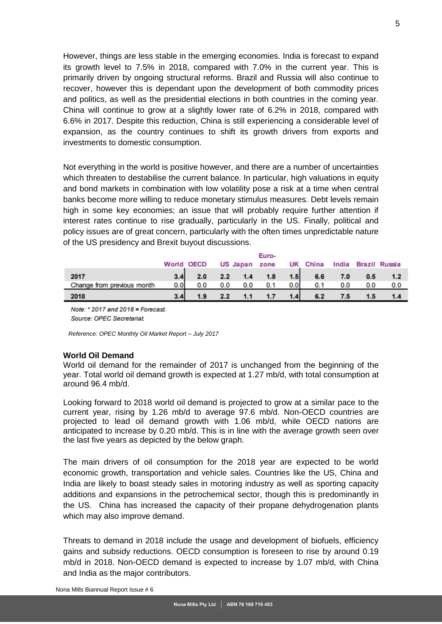However, things are less stable in the emerging economies. India is forecast to expand its growth level to 7.5% in 2018, compared with 7.0% in the current year. This is primarily driven by ongoing structural reforms. Brazil and Russia will also continue to recover, however this is dependant upon the development of both commodity prices and politics, as well as the presidential elections in both countries in the coming year. China will continue to grow at a slightly lower rate of 6.2% in 2018, compared with 6.6% in 2017. Despite this reduction, China is still experiencing a considerable level of expansion, as the country continues to shift its growth drivers from exports and investments to domestic consumption.

Not everything in the world is positive however, and there are a number of uncertainties which threaten to destabilise the current balance. In particular, high valuations in equity and bond markets in combination with low volatility pose a risk at a time when central banks become more willing to reduce monetary stimulus measures. Debt levels remain high in some key economies; an issue that will probably require further attention if interest rates continue to rise gradually, particularly in the US. Finally, political and policy issues are of great concern, particularly with the often times unpredictable nature of the US presidency and Brexit buyout discussions.

|                            |                  | <b>World OECD</b> |               |     | Euro-<br>US Japan zone |      | UK China  |     | India Brazil Russia |        |
|----------------------------|------------------|-------------------|---------------|-----|------------------------|------|-----------|-----|---------------------|--------|
| 2017                       | 3.4 <sub>1</sub> |                   |               |     | 2.0 2.2 1.4 1.8        |      | $1.5$ 6.6 | 7.0 | 0.5                 | $-1.2$ |
| Change from previous month | 0.01             | 0.0               | 0.0           | 0.0 | 0.1                    | 0.01 | 0.1       | 0.0 | 0.0                 | 0.0    |
| 2018                       | 3.4              |                   | $2.2^{\circ}$ | 1.1 | 1.7                    | 1.4  | 6.2       | 7.5 |                     |        |

Note: \* 2017 and 2018 = Forecast. Source: OPEC Secretariat.

*Reference: OPEC Monthly Oil Market Report – July 2017*

#### <span id="page-4-0"></span>**World Oil Demand**

World oil demand for the remainder of 2017 is unchanged from the beginning of the year. Total world oil demand growth is expected at 1.27 mb/d, with total consumption at around 96.4 mb/d.

Looking forward to 2018 world oil demand is projected to grow at a similar pace to the current year, rising by 1.26 mb/d to average 97.6 mb/d. Non-OECD countries are projected to lead oil demand growth with 1.06 mb/d, while OECD nations are anticipated to increase by 0.20 mb/d. This is in line with the average growth seen over the last five years as depicted by the below graph.

The main drivers of oil consumption for the 2018 year are expected to be world economic growth, transportation and vehicle sales. Countries like the US, China and India are likely to boast steady sales in motoring industry as well as sporting capacity additions and expansions in the petrochemical sector, though this is predominantly in the US. China has increased the capacity of their propane dehydrogenation plants which may also improve demand.

Threats to demand in 2018 include the usage and development of biofuels, efficiency gains and subsidy reductions. OECD consumption is foreseen to rise by around 0.19 mb/d in 2018. Non-OECD demand is expected to increase by 1.07 mb/d, with China and India as the major contributors.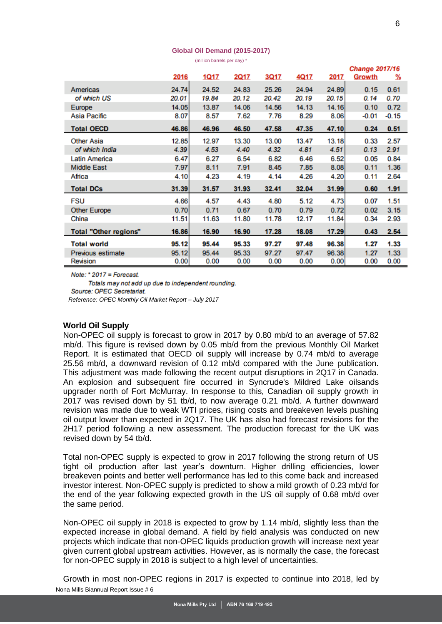#### **Global Oil Demand (2015-2017)**

(million barrels per day) \*

|                              |       |              |       |       |             |       | <b>Change 2017/16</b> |         |  |  |
|------------------------------|-------|--------------|-------|-------|-------------|-------|-----------------------|---------|--|--|
|                              | 2016  | <u> 1Q17</u> | 2Q17  | 3Q17  | <u>4Q17</u> | 2017  | Growth                | %       |  |  |
| Americas                     | 24.74 | 24.52        | 24.83 | 25.26 | 24.94       | 24.89 | 0.15                  | 0.61    |  |  |
| of which US                  | 20.01 | 19.84        | 20.12 | 20.42 | 20.19       | 20.15 | 0.14                  | 0.70    |  |  |
| Europe                       | 14.05 | 13.87        | 14.06 | 14.56 | 14.13       | 14.16 | 0.10                  | 0.72    |  |  |
| Asia Pacific                 | 8.07  | 8.57         | 7.62  | 7.76  | 8.29        | 8.06  | $-0.01$               | $-0.15$ |  |  |
| <b>Total OECD</b>            | 46.86 | 46.96        | 46.50 | 47.58 | 47.35       | 47.10 | 0.24                  | 0.51    |  |  |
| <b>Other Asia</b>            | 12.85 | 12.97        | 13.30 | 13.00 | 13.47       | 13.18 | 0.33                  | 2.57    |  |  |
| of which India               | 4.39  | 4.53         | 4.40  | 4.32  | 4.81        | 4.51  | 0.13                  | 2.91    |  |  |
| Latin America                | 6.47  | 6.27         | 6.54  | 6.82  | 6.46        | 6.52  | 0.05                  | 0.84    |  |  |
| <b>Middle East</b>           | 7.97  | 8.11         | 7.91  | 8.45  | 7.85        | 8.08  | 0.11                  | 1.36    |  |  |
| Africa                       | 4.10  | 4.23         | 4.19  | 4.14  | 4.26        | 4.20  | 0.11                  | 2.64    |  |  |
| <b>Total DCs</b>             | 31.39 | 31.57        | 31.93 | 32.41 | 32.04       | 31.99 | 0.60                  | 1.91    |  |  |
| <b>FSU</b>                   | 4.66  | 4.57         | 4.43  | 4.80  | 5.12        | 4.73  | 0.07                  | 1.51    |  |  |
| <b>Other Europe</b>          | 0.70  | 0.71         | 0.67  | 0.70  | 0.79        | 0.72  | 0.02                  | 3.15    |  |  |
| China                        | 11.51 | 11.63        | 11.80 | 11.78 | 12.17       | 11.84 | 0.34                  | 2.93    |  |  |
| <b>Total "Other regions"</b> | 16.86 | 16.90        | 16.90 | 17.28 | 18.08       | 17.29 | 0.43                  | 2.54    |  |  |
| <b>Total world</b>           | 95.12 | 95.44        | 95.33 | 97.27 | 97.48       | 96.38 | 1.27                  | 1.33    |  |  |
| Previous estimate            | 95.12 | 95.44        | 95.33 | 97.27 | 97.47       | 96.38 | 1.27                  | 1.33    |  |  |
| Revision                     | 0.00  | 0.00         | 0.00  | 0.00  | 0.00        | 0.00  | 0.00                  | 0.00    |  |  |

Note:  $*$  2017 = Forecast.

Totals may not add up due to independent rounding. Source: OPEC Secretariat. *Reference: OPEC Monthly Oil Market Report – July 2017*

#### <span id="page-5-0"></span>**World Oil Supply**

Non-OPEC oil supply is forecast to grow in 2017 by 0.80 mb/d to an average of 57.82 mb/d. This figure is revised down by 0.05 mb/d from the previous Monthly Oil Market Report. It is estimated that OECD oil supply will increase by 0.74 mb/d to average 25.56 mb/d, a downward revision of 0.12 mb/d compared with the June publication. This adjustment was made following the recent output disruptions in 2Q17 in Canada. An explosion and subsequent fire occurred in Syncrude's Mildred Lake oilsands upgrader north of Fort McMurray. In response to this, Canadian oil supply growth in 2017 was revised down by 51 tb/d, to now average 0.21 mb/d. A further downward revision was made due to weak WTI prices, rising costs and breakeven levels pushing oil output lower than expected in 2Q17. The UK has also had forecast revisions for the 2H17 period following a new assessment. The production forecast for the UK was revised down by 54 tb/d.

Total non-OPEC supply is expected to grow in 2017 following the strong return of US tight oil production after last year's downturn. Higher drilling efficiencies, lower breakeven points and better well performance has led to this come back and increased investor interest. Non-OPEC supply is predicted to show a mild growth of 0.23 mb/d for the end of the year following expected growth in the US oil supply of 0.68 mb/d over the same period.

Non-OPEC oil supply in 2018 is expected to grow by 1.14 mb/d, slightly less than the expected increase in global demand. A field by field analysis was conducted on new projects which indicate that non-OPEC liquids production growth will increase next year given current global upstream activities. However, as is normally the case, the forecast for non-OPEC supply in 2018 is subject to a high level of uncertainties.

Nona Mills Biannual Report Issue # 6 Growth in most non-OPEC regions in 2017 is expected to continue into 2018, led by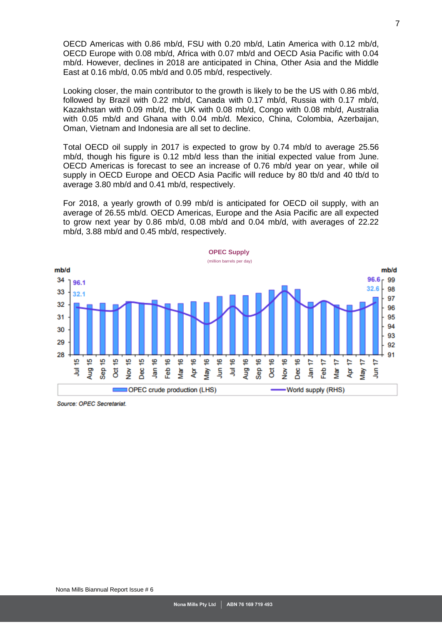OECD Americas with 0.86 mb/d, FSU with 0.20 mb/d, Latin America with 0.12 mb/d, OECD Europe with 0.08 mb/d, Africa with 0.07 mb/d and OECD Asia Pacific with 0.04 mb/d. However, declines in 2018 are anticipated in China, Other Asia and the Middle East at 0.16 mb/d, 0.05 mb/d and 0.05 mb/d, respectively.

Looking closer, the main contributor to the growth is likely to be the US with 0.86 mb/d, followed by Brazil with 0.22 mb/d, Canada with 0.17 mb/d, Russia with 0.17 mb/d, Kazakhstan with 0.09 mb/d, the UK with 0.08 mb/d, Congo with 0.08 mb/d, Australia with 0.05 mb/d and Ghana with 0.04 mb/d. Mexico, China, Colombia, Azerbaijan, Oman, Vietnam and Indonesia are all set to decline.

Total OECD oil supply in 2017 is expected to grow by 0.74 mb/d to average 25.56 mb/d, though his figure is 0.12 mb/d less than the initial expected value from June. OECD Americas is forecast to see an increase of 0.76 mb/d year on year, while oil supply in OECD Europe and OECD Asia Pacific will reduce by 80 tb/d and 40 tb/d to average 3.80 mb/d and 0.41 mb/d, respectively.

For 2018, a yearly growth of 0.99 mb/d is anticipated for OECD oil supply, with an average of 26.55 mb/d. OECD Americas, Europe and the Asia Pacific are all expected to grow next year by 0.86 mb/d, 0.08 mb/d and 0.04 mb/d, with averages of 22.22 mb/d, 3.88 mb/d and 0.45 mb/d, respectively.



Source: OPEC Secretariat.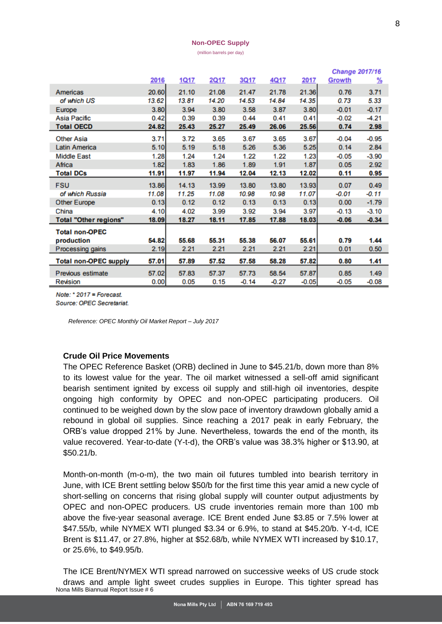#### **Non-OPEC Supply**

(million barrels per day)

|                              |       |       |       |         |         |         | <b>Change 2017/16</b> |         |  |
|------------------------------|-------|-------|-------|---------|---------|---------|-----------------------|---------|--|
|                              | 2016  | 1Q17  | 2Q17  | 3Q17    | 4Q17    | 2017    | Growth                | %       |  |
| Americas                     | 20.60 | 21.10 | 21.08 | 21.47   | 21.78   | 21.36   | 0.76                  | 3.71    |  |
| of which US                  | 13.62 | 13.81 | 14.20 | 14.53   | 14.84   | 14.35   | 0.73                  | 5.33    |  |
| Europe                       | 3.80  | 3.94  | 3.80  | 3.58    | 3.87    | 3.80    | $-0.01$               | $-0.17$ |  |
| Asia Pacific                 | 0.42  | 0.39  | 0.39  | 0.44    | 0.41    | 0.41    | $-0.02$               | $-4.21$ |  |
| <b>Total OECD</b>            | 24.82 | 25.43 | 25.27 | 25.49   | 26.06   | 25.56   | 0.74                  | 2.98    |  |
| <b>Other Asia</b>            | 3.71  | 3.72  | 3.65  | 3.67    | 3.65    | 3.67    | $-0.04$               | $-0.95$ |  |
| <b>Latin America</b>         | 5.10  | 5.19  | 5.18  | 5.26    | 5.36    | 5.25    | 0.14                  | 2.84    |  |
| <b>Middle East</b>           | 1.28  | 1.24  | 1.24  | 1.22    | 1.22    | 1.23    | $-0.05$               | $-3.90$ |  |
| Africa                       | 1.82  | 1.83  | 1.86  | 1.89    | 1.91    | 1.87    | 0.05                  | 2.92    |  |
| <b>Total DCs</b>             | 11.91 | 11.97 | 11.94 | 12.04   | 12.13   | 12.02   | 0.11                  | 0.95    |  |
| <b>FSU</b>                   | 13.86 | 14.13 | 13.99 | 13.80   | 13.80   | 13.93   | 0.07                  | 0.49    |  |
| of which Russia              | 11.08 | 11.25 | 11.08 | 10.98   | 10.98   | 11.07   | $-0.01$               | -0.11   |  |
| <b>Other Europe</b>          | 0.13  | 0.12  | 0.12  | 0.13    | 0.13    | 0.13    | 0.00                  | $-1.79$ |  |
| China                        | 4.10  | 4.02  | 3.99  | 3.92    | 3.94    | 3.97    | $-0.13$               | $-3.10$ |  |
| <b>Total "Other regions"</b> | 18.09 | 18.27 | 18.11 | 17.85   | 17.88   | 18.03   | $-0.06$               | $-0.34$ |  |
| <b>Total non-OPEC</b>        |       |       |       |         |         |         |                       |         |  |
| production                   | 54.82 | 55.68 | 55.31 | 55.38   | 56.07   | 55.61   | 0.79                  | 1.44    |  |
| Processing gains             | 2.19  | 2.21  | 2.21  | 2.21    | 2.21    | 2.21    | 0.01                  | 0.50    |  |
| <b>Total non-OPEC supply</b> | 57.01 | 57.89 | 57.52 | 57.58   | 58.28   | 57.82   | 0.80                  | 1.41    |  |
| Previous estimate            | 57.02 | 57.83 | 57.37 | 57.73   | 58.54   | 57.87   | 0.85                  | 1.49    |  |
| Revision                     | 0.00  | 0.05  | 0.15  | $-0.14$ | $-0.27$ | $-0.05$ | $-0.05$               | $-0.08$ |  |

Note:  $*2017$  = Forecast.

Source: OPEC Secretariat.

*Reference: OPEC Monthly Oil Market Report – July 2017*

#### <span id="page-7-0"></span>**Crude Oil Price Movements**

The OPEC Reference Basket (ORB) declined in June to \$45.21/b, down more than 8% to its lowest value for the year. The oil market witnessed a sell-off amid significant bearish sentiment ignited by excess oil supply and still-high oil inventories, despite ongoing high conformity by OPEC and non-OPEC participating producers. Oil continued to be weighed down by the slow pace of inventory drawdown globally amid a rebound in global oil supplies. Since reaching a 2017 peak in early February, the ORB's value dropped 21% by June. Nevertheless, towards the end of the month, its value recovered. Year-to-date (Y-t-d), the ORB's value was 38.3% higher or \$13.90, at \$50.21/b.

Month-on-month (m-o-m), the two main oil futures tumbled into bearish territory in June, with ICE Brent settling below \$50/b for the first time this year amid a new cycle of short-selling on concerns that rising global supply will counter output adjustments by OPEC and non-OPEC producers. US crude inventories remain more than 100 mb above the five-year seasonal average. ICE Brent ended June \$3.85 or 7.5% lower at \$47.55/b, while NYMEX WTI plunged \$3.34 or 6.9%, to stand at \$45.20/b. Y-t-d, ICE Brent is \$11.47, or 27.8%, higher at \$52.68/b, while NYMEX WTI increased by \$10.17, or 25.6%, to \$49.95/b.

Nona Mills Biannual Report Issue # 6 The ICE Brent/NYMEX WTI spread narrowed on successive weeks of US crude stock draws and ample light sweet crudes supplies in Europe. This tighter spread has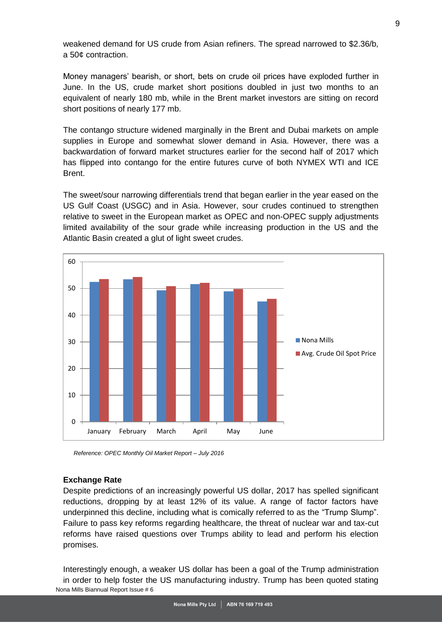weakened demand for US crude from Asian refiners. The spread narrowed to \$2.36/b, a 50¢ contraction.

Money managers' bearish, or short, bets on crude oil prices have exploded further in June. In the US, crude market short positions doubled in just two months to an equivalent of nearly 180 mb, while in the Brent market investors are sitting on record short positions of nearly 177 mb.

The contango structure widened marginally in the Brent and Dubai markets on ample supplies in Europe and somewhat slower demand in Asia. However, there was a backwardation of forward market structures earlier for the second half of 2017 which has flipped into contango for the entire futures curve of both NYMEX WTI and ICE Brent.

The sweet/sour narrowing differentials trend that began earlier in the year eased on the US Gulf Coast (USGC) and in Asia. However, sour crudes continued to strengthen relative to sweet in the European market as OPEC and non-OPEC supply adjustments limited availability of the sour grade while increasing production in the US and the Atlantic Basin created a glut of light sweet crudes.

![](_page_8_Figure_4.jpeg)

*Reference: OPEC Monthly Oil Market Report – July 2016*

#### <span id="page-8-0"></span>**Exchange Rate**

Despite predictions of an increasingly powerful US dollar, 2017 has spelled significant reductions, dropping by at least 12% of its value. A range of factor factors have underpinned this decline, including what is comically referred to as the "Trump Slump". Failure to pass key reforms regarding healthcare, the threat of nuclear war and tax-cut reforms have raised questions over Trumps ability to lead and perform his election promises.

Nona Mills Biannual Report Issue # 6 Interestingly enough, a weaker US dollar has been a goal of the Trump administration in order to help foster the US manufacturing industry. Trump has been quoted stating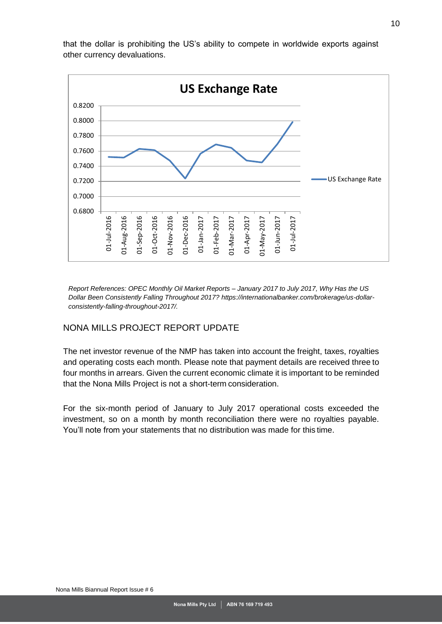![](_page_9_Figure_0.jpeg)

that the dollar is prohibiting the US's ability to compete in worldwide exports against other currency devaluations.

*Report References: OPEC Monthly Oil Market Reports – January 2017 to July 2017, Why Has the US Dollar Been Consistently Falling Throughout 2017? https://internationalbanker.com/brokerage/us-dollarconsistently-falling-throughout-2017/.*

# <span id="page-9-0"></span>NONA MILLS PROJECT REPORT UPDATE

The net investor revenue of the NMP has taken into account the freight, taxes, royalties and operating costs each month. Please note that payment details are received three to four months in arrears. Given the current economic climate it is important to be reminded that the Nona Mills Project is not a short-term consideration.

For the six-month period of January to July 2017 operational costs exceeded the investment, so on a month by month reconciliation there were no royalties payable. You'll note from your statements that no distribution was made for this time.